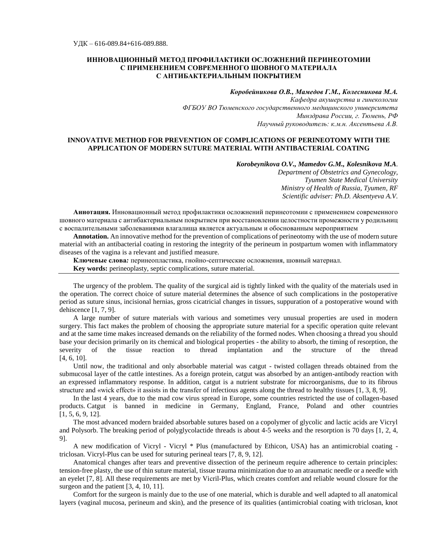# **ИННОВАЦИОННЫЙ МЕТОД ПРОФИЛАКТИКИ ОСЛОЖНЕНИЙ ПЕРИНЕОТОМИИ С ПРИМЕНЕНИЕМ СОВРЕМЕННОГО ШОВНОГО МАТЕРИАЛА С АНТИБАКТЕРИАЛЬНЫМ ПОКРЫТИЕМ**

## *Коробейникова О.В., Мамедов Г.М., Колесникова М.А.*

*Кафедра акушерства и гинекологии ФГБОУ ВО Тюменского государственного медицинского университета Минздрава России, г. Тюмень, РФ Научный руководитель: к.м.н. Аксентьева А.В.*

## **INNOVATIVE METHOD FOR PREVENTION OF COMPLICATIONS OF PERINEOTOMY WITH THE APPLICATION OF MODERN SUTURE MATERIAL WITH ANTIBACTERIAL COATING**

*Korobeynikova O.V., Mamedov G.M., Kolesnikova M.A.*

*Department of Obstetrics and Gynecology, Tyumen State Medical University Ministry of Health of Russia, Tyumen, RF Scientific adviser: Ph.D. Aksentyeva A.V.*

**Аннотация.** Инновационный метод профилактики осложнений перинеотомии с применением современного шовного материала с антибактериальным покрытием при восстановлении целостности промежности у родильниц с воспалительными заболеваниями влагалища является актуальным и обоснованным мероприятием

**Annotation.** An innovative method for the prevention of complications of perineotomy with the use of modern suture material with an antibacterial coating in restoring the integrity of the perineum in postpartum women with inflammatory diseases of the vagina is a relevant and justified measure.

**Ключевые слова***:* перинеопластика, гнойно-септические осложнения, шовный материал.

**Key words:** perineoplasty, septic complications, suture material.

The urgency of the problem. The quality of the surgical aid is tightly linked with the quality of the materials used in the operation. The correct choice of suture material determines the absence of such complications in the postoperative period as suture sinus, incisional hernias, gross cicatricial changes in tissues, suppuration of a postoperative wound with dehiscence [1, 7, 9].

A large number of suture materials with various and sometimes very unusual properties are used in modern surgery. This fact makes the problem of choosing the appropriate suture material for a specific operation quite relevant and at the same time makes increased demands on the reliability of the formed nodes. When choosing a thread you should base your decision primarily on its chemical and biological properties - the ability to absorb, the timing of resorption, the severity of the tissue reaction to thread implantation and the structure of the thread [4, 6, 10].

Until now, the traditional and only absorbable material was catgut - twisted collagen threads obtained from the submucosal layer of the cattle intestines. As a foreign protein, catgut was absorbed by an antigen-antibody reaction with an expressed inflammatory response. In addition, catgut is a nutrient substrate for microorganisms, due to its fibrous structure and «wick effect» it assists in the transfer of infectious agents along the thread to healthy tissues [1, 3, 8, 9].

In the last 4 years, due to the mad cow virus spread in Europe, some countries restricted the use of collagen-based products. Catgut is banned in medicine in Germany, England, France, Poland and other countries [1, 5, 6, 9, 12].

The most advanced modern braided absorbable sutures based on a copolymer of glycolic and lactic acids are Vicryl and Polysorb. The breaking period of polyglycolactide threads is about 4-5 weeks and the resorption is 70 days [1, 2, 4, 9].

A new modification of Vicryl - Vicryl \* Plus (manufactured by Ethicon, USA) has an antimicrobial coating triclosan. Vicryl-Plus can be used for suturing perineal tears [7, 8, 9, 12].

Anatomical changes after tears and preventive dissection of the perineum require adherence to certain principles: tension-free plasty, the use of thin suture material, tissue trauma minimization due to an atraumatic needle or a needle with an eyelet [7, 8]. All these requirements are met by Viсril-Plus, which creates comfort and reliable wound closure for the surgeon and the patient [3, 4, 10, 11].

Comfort for the surgeon is mainly due to the use of one material, which is durable and well adapted to all anatomical layers (vaginal mucosa, perineum and skin), and the presence of its qualities (antimicrobial coating with triclosan, knot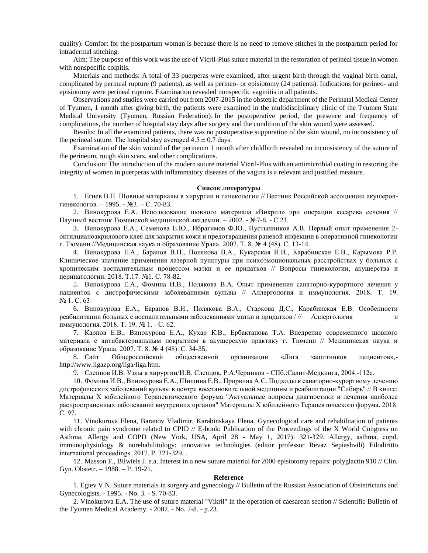quality). Comfort for the postpartum woman is because there is no need to remove stitches in the postpartum period for intradermal stitching.

Aim: The purpose of this work was the use of Vicril-Plus suture material in the restoration of perineal tissue in women with nonspecific colpitis.

Materials and methods: A total of 33 puerperas were examined, after urgent birth through the vaginal birth canal, complicated by perineal rupture (9 patients), as well as perineo- or episiotomy (24 patients). Indications for perineo- and episiotomy were perineal rupture. Examination revealed nonspecific vaginitis in all patients.

Observations and studies were carried out from 2007-2015 in the obstetric department of the Perinatal Medical Center of Tyumen, 1 month after giving birth, the patients were examined in the multidisciplinary clinic of the Tyumen State Medical University (Tyumen, Russian Federation). In the postoperative period, the presence and frequency of complications, the number of hospital stay days after surgery and the condition of the skin wound were assessed.

Results: In all the examined patients, there was no postoperative suppuration of the skin wound, no inconsistency of the perineal suture. The hospital stay averaged  $4.5 \pm 0.7$  days.

Examination of the skin wound of the perineum 1 month after childbirth revealed no inconsistency of the suture of the perineum, rough skin scars, and other complications.

Conclusion: The introduction of the modern suture material Viсril-Plus with an antimicrobial coating in restoring the integrity of women in puerperas with inflammatory diseases of the vagina is a relevant and justified measure.

#### **Список литературы**

1. Егиев В.Н. Шовные материалы в хирургии и гинекологии // Вестник Российской ассоциации акушеровгинекологов. – 1995. - №3. – С. 70-83.

2. Винокурова Е.А. Использование шовного материала «Викрил» при операции кесарева сечения // Научный вестник Тюменской медицинской академии. – 2002. - №7-8. - С.23.

3. Винокурова Е.А., Семенова Е.Ю., Ибрагимов Ф.Ю., Пустынников А.В. Первый опыт применения 2 октилцианоакрилового клея для закрытия кожи и предотвращения раневой инфекции в оперативной гинекологии г. Тюмени //Медицинская наука и образование Урала. 2007. Т. 8. № 4 (48). С. 13-14.

4. Винокурова Е.А., Баранов В.Н., Полякова В.А., Кукарская И.И., Карабинская Е.В., Карымова Р.Р. Клиническое значение применения лазерной пунктуры при психоэмоциональных расстройствах у больных с хроническим воспалительным процессом матки и ее придатков // Вопросы гинекологии, акушерства и перинатологии. 2018. Т.17. №1. С. 78-82.

5. Винокурова Е.А., Фомина И.В., Полякова В.А. Опыт применения санаторно-курортного лечения у пациенток с дистрофическими заболеваниями вульвы // Аллергология и иммунология. 2018. Т. 19. № 1. С. 63

6. Винокурова Е.А., Баранов В.Н., Полякова В.А., Старкова Д.С., Карабинская Е.В. Особенности реабилитации больных с воспалительными заболеваниями матки и придатков / // Аллергология иммунология. 2018. Т. 19. № 1. - С. 62.

7. Карпов Е.В., Винокурова Е.А., Кухар К.В., Ербактанова Т.А. Внедрение современного шовного материала с антибактериальным покрытием в акушерскую практику г. Тюмени // Медицинская наука и образование Урала. 2007. Т. 8. № 4 (48). С. 34-35.

8. Сайт Общероссийской общественной организации «Лига защитников пациентов», http://www.ligazp.org/liga/liga.htm.

9. Слепцов И.В. Узлы в хирургии/И.В. Слепцов, Р.А.Черников - СПб.:Салит-Медкнига, 2004.-112с.

10. Фомина И.В., Винокурова Е.А., Шишина Е.В., Прорвина А.С. Подходы к санаторно-курортному лечению дистрофических заболеваний вульвы в центре восстановительной медицины и реабилитации "Сибирь" // В книге: Материалы X юбилейного Терапевтического форума "Актуальные вопросы диагностики и лечения наиболее распространенных заболеваний внутренних органов" Материалы X юбилейного Терапевтического форума. 2018. С. 97.

11. Vinokurova Elena, Baranov Vladimir, Karabinskaya Elena. Gynecological care and rehabilitation of patients with chronic pain syndrome related to CPID // E-book: Publication of the Proceedings of the X World Congress on Asthma, Allergy and COPD (New York, USA, April 28 - May 1, 2017): 321-329. Аllergy, asthma, copd, immunophysiology & norehabilitology: innovative technologies (editor professor Revaz Sepiashvili) Filodiritto international proceedings. 2017. Р. 321-329. .

12. Masson F., Bilwiels J. e.a. Interest in a new suture material for 2000 episiotomy repairs: polyglactin 910 // Clin. Gyn. Obstetr. – 1988. – P. 19-21.

#### **Reference**

1. Egiev V.N. Suture materials in surgery and gynecology // Bulletin of the Russian Association of Obstetricians and Gynecologists. - 1995. - No. 3. - S. 70-83.

2. Vinokurova E.A. The use of suture material "Vikril" in the operation of caesarean section // Scientific Bulletin of the Tyumen Medical Academy. - 2002. - No. 7-8. - p.23.